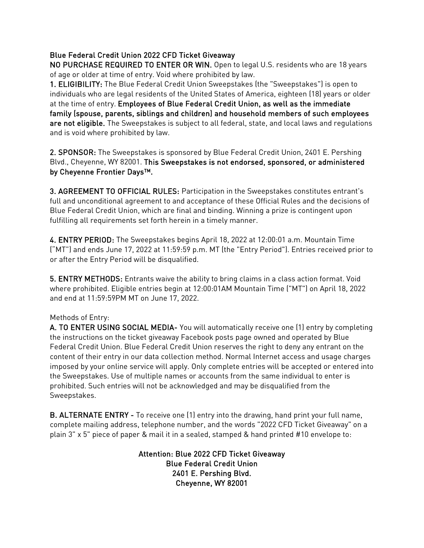## Blue Federal Credit Union 2022 CFD Ticket Giveaway

NO PURCHASE REQUIRED TO ENTER OR WIN. Open to legal U.S. residents who are 18 years of age or older at time of entry. Void where prohibited by law.

1. ELIGIBILITY: The Blue Federal Credit Union Sweepstakes (the "Sweepstakes") is open to individuals who are legal residents of the United States of America, eighteen (18) years or older at the time of entry. Employees of Blue Federal Credit Union, as well as the immediate family (spouse, parents, siblings and children) and household members of such employees are not eligible. The Sweepstakes is subject to all federal, state, and local laws and regulations and is void where prohibited by law.

2. SPONSOR: The Sweepstakes is sponsored by Blue Federal Credit Union, 2401 E. Pershing Blvd., Cheyenne, WY 82001. This Sweepstakes is not endorsed, sponsored, or administered by Cheyenne Frontier Days™.

3. AGREEMENT TO OFFICIAL RULES: Participation in the Sweepstakes constitutes entrant's full and unconditional agreement to and acceptance of these Official Rules and the decisions of Blue Federal Credit Union, which are final and binding. Winning a prize is contingent upon fulfilling all requirements set forth herein in a timely manner.

4. ENTRY PERIOD: The Sweepstakes begins April 18, 2022 at 12:00:01 a.m. Mountain Time ("MT") and ends June 17, 2022 at 11:59:59 p.m. MT (the "Entry Period"). Entries received prior to or after the Entry Period will be disqualified.

5. ENTRY METHODS: Entrants waive the ability to bring claims in a class action format. Void where prohibited. Eligible entries begin at 12:00:01AM Mountain Time ("MT") on April 18, 2022 and end at 11:59:59PM MT on June 17, 2022.

## Methods of Entry:

A. TO ENTER USING SOCIAL MEDIA- You will automatically receive one (1) entry by completing the instructions on the ticket giveaway Facebook posts page owned and operated by Blue Federal Credit Union. Blue Federal Credit Union reserves the right to deny any entrant on the content of their entry in our data collection method. Normal Internet access and usage charges imposed by your online service will apply. Only complete entries will be accepted or entered into the Sweepstakes. Use of multiple names or accounts from the same individual to enter is prohibited. Such entries will not be acknowledged and may be disqualified from the Sweepstakes.

B. ALTERNATE ENTRY - To receive one (1) entry into the drawing, hand print your full name, complete mailing address, telephone number, and the words "2022 CFD Ticket Giveaway" on a plain 3" x 5" piece of paper & mail it in a sealed, stamped & hand printed #10 envelope to:

> Attention: Blue 2022 CFD Ticket Giveaway Blue Federal Credit Union 2401 E. Pershing Blvd. Cheyenne, WY 82001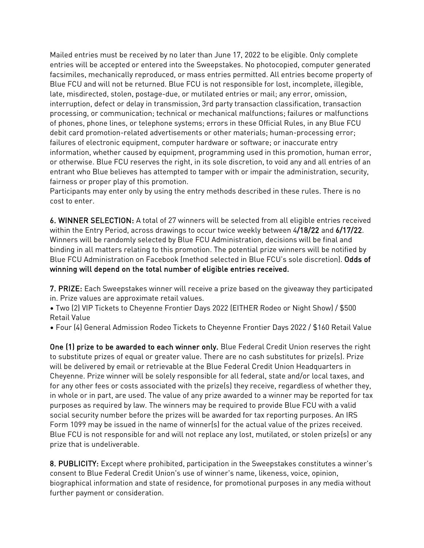Mailed entries must be received by no later than June 17, 2022 to be eligible. Only complete entries will be accepted or entered into the Sweepstakes. No photocopied, computer generated facsimiles, mechanically reproduced, or mass entries permitted. All entries become property of Blue FCU and will not be returned. Blue FCU is not responsible for lost, incomplete, illegible, late, misdirected, stolen, postage-due, or mutilated entries or mail; any error, omission, interruption, defect or delay in transmission, 3rd party transaction classification, transaction processing, or communication; technical or mechanical malfunctions; failures or malfunctions of phones, phone lines, or telephone systems; errors in these Official Rules, in any Blue FCU debit card promotion-related advertisements or other materials; human-processing error; failures of electronic equipment, computer hardware or software; or inaccurate entry information, whether caused by equipment, programming used in this promotion, human error, or otherwise. Blue FCU reserves the right, in its sole discretion, to void any and all entries of an entrant who Blue believes has attempted to tamper with or impair the administration, security, fairness or proper play of this promotion.

Participants may enter only by using the entry methods described in these rules. There is no cost to enter.

6. WINNER SELECTION: A total of 27 winners will be selected from all eligible entries received within the Entry Period, across drawings to occur twice weekly between 4/18/22 and 6/17/22. Winners will be randomly selected by Blue FCU Administration, decisions will be final and binding in all matters relating to this promotion. The potential prize winners will be notified by Blue FCU Administration on Facebook (method selected in Blue FCU's sole discretion). Odds of winning will depend on the total number of eligible entries received.

7. PRIZE: Each Sweepstakes winner will receive a prize based on the giveaway they participated in. Prize values are approximate retail values.

• Two (2) VIP Tickets to Cheyenne Frontier Days 2022 (EITHER Rodeo or Night Show) / \$500 Retail Value

• Four (4) General Admission Rodeo Tickets to Cheyenne Frontier Days 2022 / \$160 Retail Value

One (1) prize to be awarded to each winner only. Blue Federal Credit Union reserves the right to substitute prizes of equal or greater value. There are no cash substitutes for prize(s). Prize will be delivered by email or retrievable at the Blue Federal Credit Union Headquarters in Cheyenne. Prize winner will be solely responsible for all federal, state and/or local taxes, and for any other fees or costs associated with the prize(s) they receive, regardless of whether they, in whole or in part, are used. The value of any prize awarded to a winner may be reported for tax purposes as required by law. The winners may be required to provide Blue FCU with a valid social security number before the prizes will be awarded for tax reporting purposes. An IRS Form 1099 may be issued in the name of winner(s) for the actual value of the prizes received. Blue FCU is not responsible for and will not replace any lost, mutilated, or stolen prize(s) or any prize that is undeliverable.

8. PUBLICITY: Except where prohibited, participation in the Sweepstakes constitutes a winner's consent to Blue Federal Credit Union's use of winner's name, likeness, voice, opinion, biographical information and state of residence, for promotional purposes in any media without further payment or consideration.